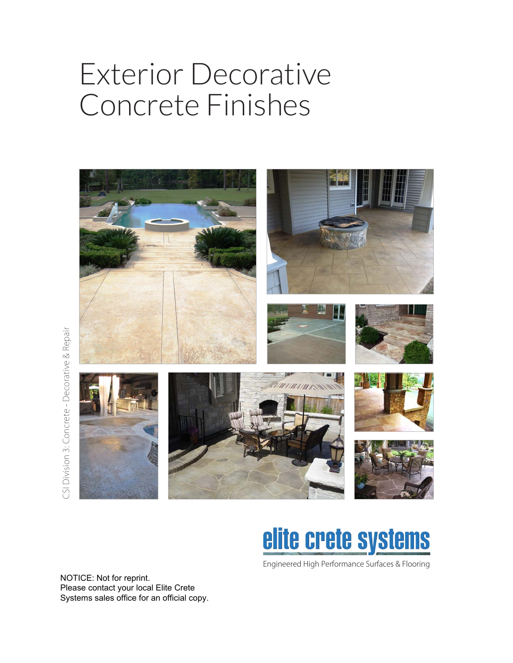## Exterior Decorative Concrete Finishes



# elite crete systems

Engineered High Performance Surfaces & Flooring